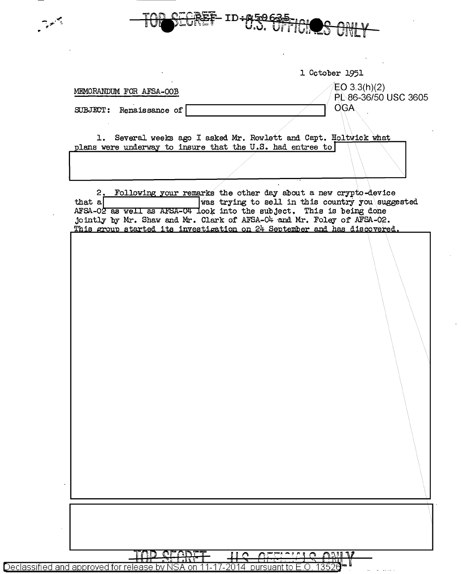|                                                                                                                                                    | 1 October 1951                                                   |
|----------------------------------------------------------------------------------------------------------------------------------------------------|------------------------------------------------------------------|
| MEMORANDUM FOR AFSA-OOB                                                                                                                            | EO 3.3(h)(2)                                                     |
| SUBJECT: Renaissance of                                                                                                                            | PL 86-36/50 USC 3605<br><b>OGA</b>                               |
|                                                                                                                                                    |                                                                  |
| plans were underway to insure that the U.S. had entree to                                                                                          | 1. Several weeks ago I asked Mr. Rowlett and Capt. Holtwick what |
|                                                                                                                                                    |                                                                  |
|                                                                                                                                                    |                                                                  |
| 2.                                                                                                                                                 | Following your remarks the other day about a new crypto-device   |
| that $a$<br>AFSA-02 as well as AFSA-04 look into the subject. This is being done                                                                   | was trying to sell in this country you suggested                 |
| jointly by Mr. Shaw and Mr. Clark of AFSA-04 and Mr. Foley of AFSA-02.<br>This group started its investigation on 24 September and has discovered. |                                                                  |
|                                                                                                                                                    |                                                                  |
|                                                                                                                                                    |                                                                  |
|                                                                                                                                                    |                                                                  |
|                                                                                                                                                    |                                                                  |
|                                                                                                                                                    |                                                                  |
|                                                                                                                                                    |                                                                  |
|                                                                                                                                                    |                                                                  |
|                                                                                                                                                    |                                                                  |
|                                                                                                                                                    |                                                                  |
|                                                                                                                                                    |                                                                  |
|                                                                                                                                                    |                                                                  |
|                                                                                                                                                    |                                                                  |
|                                                                                                                                                    |                                                                  |
|                                                                                                                                                    |                                                                  |
|                                                                                                                                                    |                                                                  |
|                                                                                                                                                    |                                                                  |
|                                                                                                                                                    |                                                                  |
|                                                                                                                                                    |                                                                  |
|                                                                                                                                                    |                                                                  |
|                                                                                                                                                    |                                                                  |

| Declassified and approved for release by NSA on 1 |  |  |  |  | -pursuant to E |
|---------------------------------------------------|--|--|--|--|----------------|
|---------------------------------------------------|--|--|--|--|----------------|